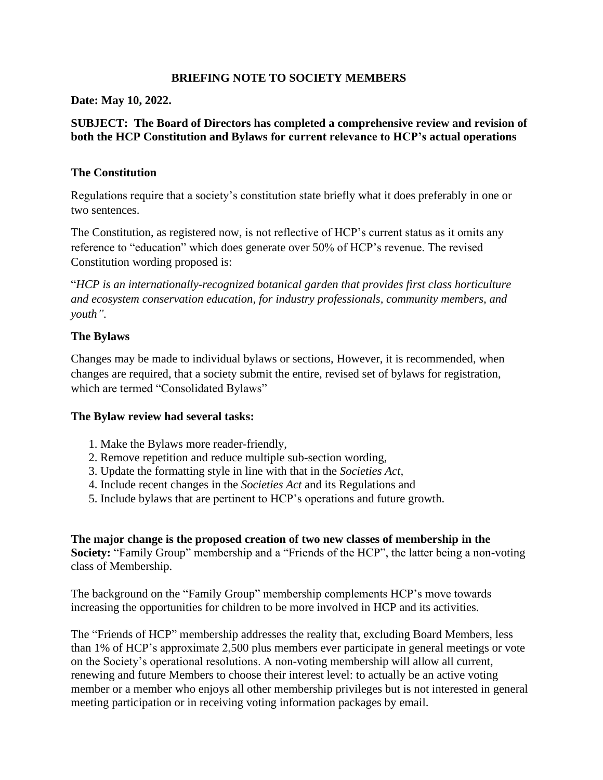## **BRIEFING NOTE TO SOCIETY MEMBERS**

#### **Date: May 10, 2022.**

## **SUBJECT: The Board of Directors has completed a comprehensive review and revision of both the HCP Constitution and Bylaws for current relevance to HCP's actual operations**

## **The Constitution**

Regulations require that a society's constitution state briefly what it does preferably in one or two sentences.

The Constitution, as registered now, is not reflective of HCP's current status as it omits any reference to "education" which does generate over 50% of HCP's revenue. The revised Constitution wording proposed is:

"*HCP is an internationally-recognized botanical garden that provides first class horticulture and ecosystem conservation education, for industry professionals, community members, and youth".*

## **The Bylaws**

Changes may be made to individual bylaws or sections, However, it is recommended, when changes are required, that a society submit the entire, revised set of bylaws for registration, which are termed "Consolidated Bylaws"

## **The Bylaw review had several tasks:**

- 1. Make the Bylaws more reader-friendly,
- 2. Remove repetition and reduce multiple sub-section wording,
- 3. Update the formatting style in line with that in the *Societies Act,*
- 4. Include recent changes in the *Societies Act* and its Regulations and
- 5. Include bylaws that are pertinent to HCP's operations and future growth.

**The major change is the proposed creation of two new classes of membership in the Society:** "Family Group" membership and a "Friends of the HCP", the latter being a non-voting class of Membership.

The background on the "Family Group" membership complements HCP's move towards increasing the opportunities for children to be more involved in HCP and its activities.

The "Friends of HCP" membership addresses the reality that, excluding Board Members, less than 1% of HCP's approximate 2,500 plus members ever participate in general meetings or vote on the Society's operational resolutions. A non-voting membership will allow all current, renewing and future Members to choose their interest level: to actually be an active voting member or a member who enjoys all other membership privileges but is not interested in general meeting participation or in receiving voting information packages by email.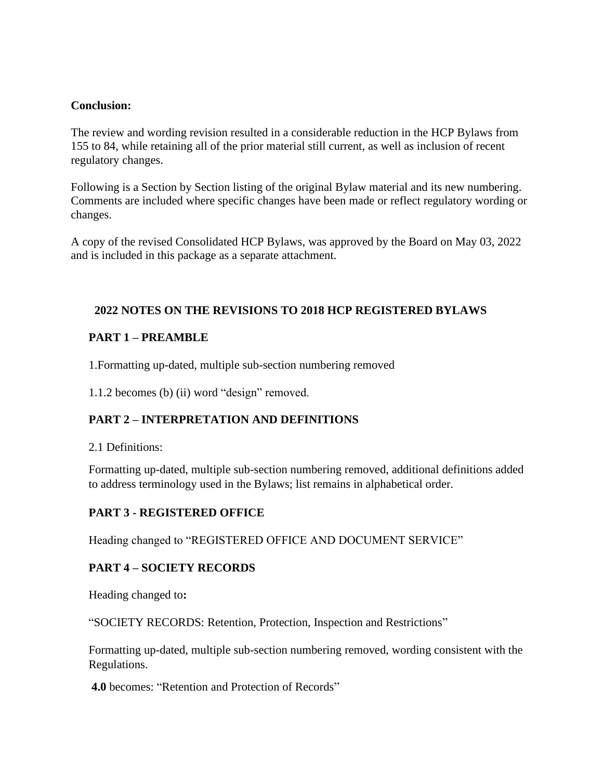### **Conclusion:**

The review and wording revision resulted in a considerable reduction in the HCP Bylaws from 155 to 84, while retaining all of the prior material still current, as well as inclusion of recent regulatory changes.

Following is a Section by Section listing of the original Bylaw material and its new numbering. Comments are included where specific changes have been made or reflect regulatory wording or changes.

A copy of the revised Consolidated HCP Bylaws, was approved by the Board on May 03, 2022 and is included in this package as a separate attachment.

## **2022 NOTES ON THE REVISIONS TO 2018 HCP REGISTERED BYLAWS**

### **PART 1 – PREAMBLE**

1.Formatting up-dated, multiple sub-section numbering removed

1.1.2 becomes (b) (ii) word "design" removed.

## **PART 2 – INTERPRETATION AND DEFINITIONS**

#### 2.1 Definitions:

Formatting up-dated, multiple sub-section numbering removed, additional definitions added to address terminology used in the Bylaws; list remains in alphabetical order.

## **PART 3 - REGISTERED OFFICE**

Heading changed to "REGISTERED OFFICE AND DOCUMENT SERVICE"

## **PART 4 – SOCIETY RECORDS**

Heading changed to**:**

"SOCIETY RECORDS: Retention, Protection, Inspection and Restrictions"

Formatting up-dated, multiple sub-section numbering removed, wording consistent with the Regulations.

**4.0** becomes: "Retention and Protection of Records"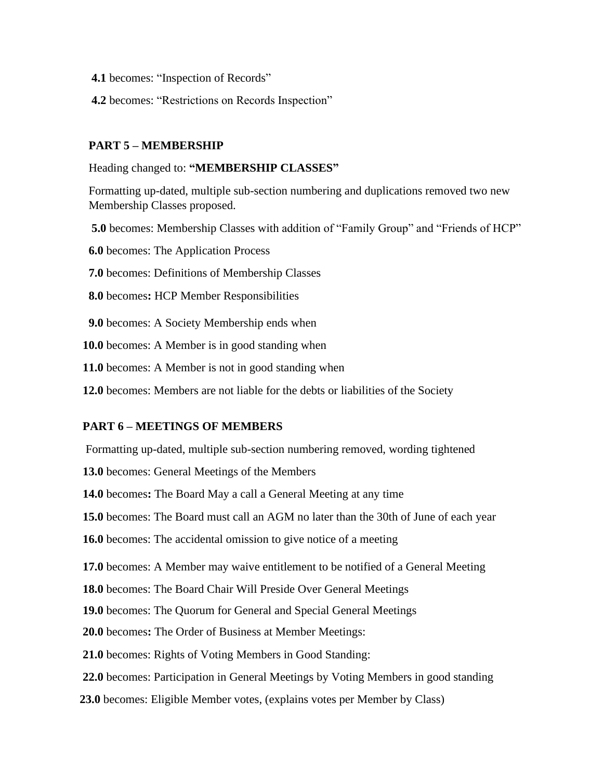- **4.1** becomes: "Inspection of Records"
- **4.2** becomes: "Restrictions on Records Inspection"

### **PART 5 – MEMBERSHIP**

#### Heading changed to: **"MEMBERSHIP CLASSES"**

Formatting up-dated, multiple sub-section numbering and duplications removed two new Membership Classes proposed.

- **5.0** becomes: Membership Classes with addition of "Family Group" and "Friends of HCP"
- **6.0** becomes: The Application Process
- **7.0** becomes: Definitions of Membership Classes
- **8.0** becomes**:** HCP Member Responsibilities
- **9.0** becomes: A Society Membership ends when
- **10.0** becomes: A Member is in good standing when
- **11.0** becomes: A Member is not in good standing when
- **12.0** becomes: Members are not liable for the debts or liabilities of the Society

#### **PART 6 – MEETINGS OF MEMBERS**

Formatting up-dated, multiple sub-section numbering removed, wording tightened

- **13.0** becomes: General Meetings of the Members
- **14.0** becomes**:** The Board May a call a General Meeting at any time
- **15.0** becomes: The Board must call an AGM no later than the 30th of June of each year
- **16.0** becomes: The accidental omission to give notice of a meeting
- **17.0** becomes: A Member may waive entitlement to be notified of a General Meeting
- **18.0** becomes: The Board Chair Will Preside Over General Meetings
- **19.0** becomes: The Quorum for General and Special General Meetings
- **20.0** becomes**:** The Order of Business at Member Meetings:
- **21.0** becomes: Rights of Voting Members in Good Standing:
- **22.0** becomes: Participation in General Meetings by Voting Members in good standing
- **23.0** becomes: Eligible Member votes, (explains votes per Member by Class)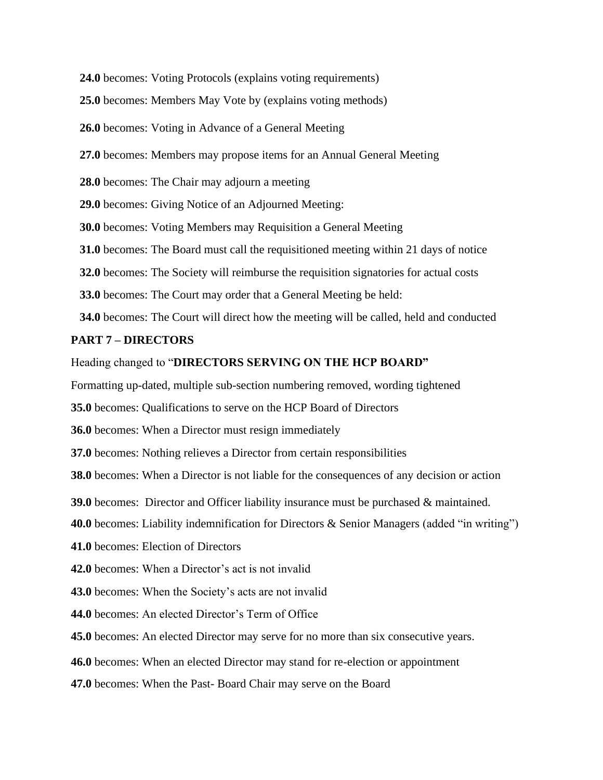**24.0** becomes: Voting Protocols (explains voting requirements)

 **25.0** becomes: Members May Vote by (explains voting methods)

 **26.0** becomes: Voting in Advance of a General Meeting

 **27.0** becomes: Members may propose items for an Annual General Meeting

**28.0** becomes: The Chair may adjourn a meeting

 **29.0** becomes: Giving Notice of an Adjourned Meeting:

 **30.0** becomes: Voting Members may Requisition a General Meeting

 **31.0** becomes: The Board must call the requisitioned meeting within 21 days of notice

**32.0** becomes: The Society will reimburse the requisition signatories for actual costs

 **33.0** becomes: The Court may order that a General Meeting be held:

 **34.0** becomes: The Court will direct how the meeting will be called, held and conducted

#### **PART 7 – DIRECTORS**

Heading changed to "**DIRECTORS SERVING ON THE HCP BOARD"**

Formatting up-dated, multiple sub-section numbering removed, wording tightened

**35.0** becomes: Qualifications to serve on the HCP Board of Directors

**36.0** becomes: When a Director must resign immediately

**37.0** becomes: Nothing relieves a Director from certain responsibilities

**38.0** becomes: When a Director is not liable for the consequences of any decision or action

**39.0** becomes: Director and Officer liability insurance must be purchased & maintained.

**40.0** becomes: Liability indemnification for Directors & Senior Managers (added "in writing")

**41.0** becomes: Election of Directors

**42.0** becomes: When a Director's act is not invalid

**43.0** becomes: When the Society's acts are not invalid

**44.0** becomes: An elected Director's Term of Office

**45.0** becomes: An elected Director may serve for no more than six consecutive years.

**46.0** becomes: When an elected Director may stand for re-election or appointment

**47.0** becomes: When the Past- Board Chair may serve on the Board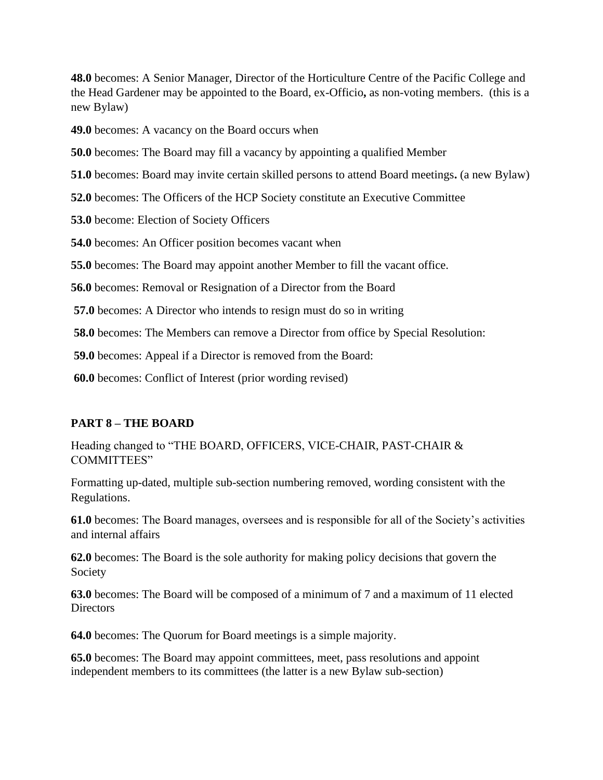**48.0** becomes: A Senior Manager, Director of the Horticulture Centre of the Pacific College and the Head Gardener may be appointed to the Board, ex-Officio**,** as non-voting members. (this is a new Bylaw)

**49.0** becomes: A vacancy on the Board occurs when

**50.0** becomes: The Board may fill a vacancy by appointing a qualified Member

**51.0** becomes: Board may invite certain skilled persons to attend Board meetings**.** (a new Bylaw)

**52.0** becomes: The Officers of the HCP Society constitute an Executive Committee

**53.0** become: Election of Society Officers

**54.0** becomes: An Officer position becomes vacant when

**55.0** becomes: The Board may appoint another Member to fill the vacant office.

**56.0** becomes: Removal or Resignation of a Director from the Board

**57.0** becomes: A Director who intends to resign must do so in writing

**58.0** becomes: The Members can remove a Director from office by Special Resolution:

**59.0** becomes: Appeal if a Director is removed from the Board:

**60.0** becomes: Conflict of Interest (prior wording revised)

#### **PART 8 – THE BOARD**

Heading changed to "THE BOARD, OFFICERS, VICE-CHAIR, PAST-CHAIR & COMMITTEES"

Formatting up-dated, multiple sub-section numbering removed, wording consistent with the Regulations.

**61.0** becomes: The Board manages, oversees and is responsible for all of the Society's activities and internal affairs

**62.0** becomes: The Board is the sole authority for making policy decisions that govern the Society

**63.0** becomes: The Board will be composed of a minimum of 7 and a maximum of 11 elected **Directors** 

**64.0** becomes: The Quorum for Board meetings is a simple majority.

**65.0** becomes: The Board may appoint committees, meet, pass resolutions and appoint independent members to its committees (the latter is a new Bylaw sub-section)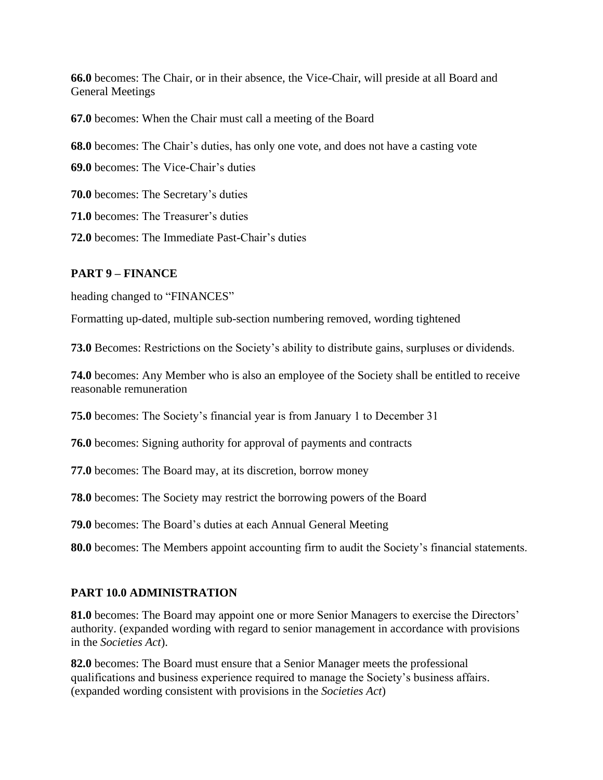**66.0** becomes: The Chair, or in their absence, the Vice-Chair, will preside at all Board and General Meetings

**67.0** becomes: When the Chair must call a meeting of the Board

**68.0** becomes: The Chair's duties, has only one vote, and does not have a casting vote

**69.0** becomes: The Vice-Chair's duties

**70.0** becomes: The Secretary's duties

**71.0** becomes: The Treasurer's duties

**72.0** becomes: The Immediate Past-Chair's duties

### **PART 9 – FINANCE**

heading changed to "FINANCES"

Formatting up-dated, multiple sub-section numbering removed, wording tightened

**73.0** Becomes: Restrictions on the Society's ability to distribute gains, surpluses or dividends.

**74.0** becomes: Any Member who is also an employee of the Society shall be entitled to receive reasonable remuneration

**75.0** becomes: The Society's financial year is from January 1 to December 31

**76.0** becomes: Signing authority for approval of payments and contracts

**77.0** becomes: The Board may, at its discretion, borrow money

**78.0** becomes: The Society may restrict the borrowing powers of the Board

**79.0** becomes: The Board's duties at each Annual General Meeting

**80.0** becomes: The Members appoint accounting firm to audit the Society's financial statements.

## **PART 10.0 ADMINISTRATION**

**81.0** becomes: The Board may appoint one or more Senior Managers to exercise the Directors' authority. (expanded wording with regard to senior management in accordance with provisions in the *Societies Act*).

**82.0** becomes: The Board must ensure that a Senior Manager meets the professional qualifications and business experience required to manage the Society's business affairs. (expanded wording consistent with provisions in the *Societies Act*)